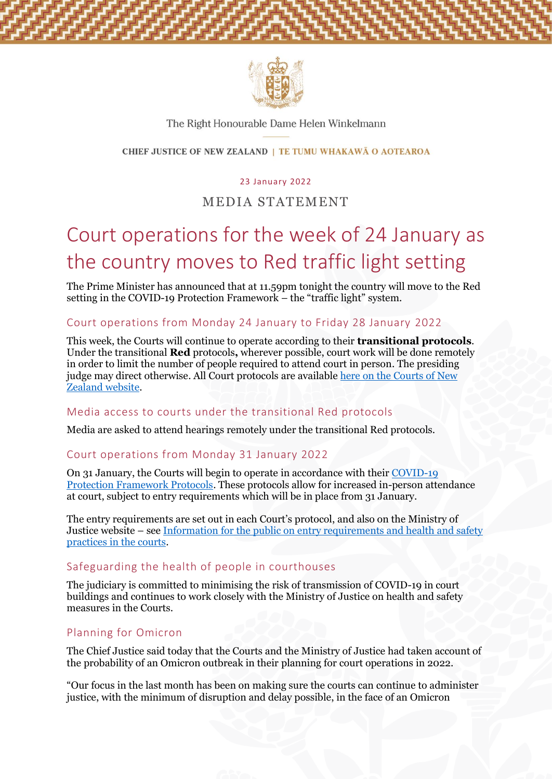

#### The Right Honourable Dame Helen Winkelmann

#### CHIEF JUSTICE OF NEW ZEALAND | TE TUMU WHAKAWĀ O AOTEAROA

#### 23 January 2022

# MEDIA STATEMENT

# Court operations for the week of 24 January as the country moves to Red traffic light setting

The Prime Minister has announced that at 11.59pm tonight the country will move to the Red setting in the COVID-19 Protection Framework – the "traffic light" system.

### Court operations from Monday 24 January to Friday 28 January 2022

This week, the Courts will continue to operate according to their **transitional protocols**. Under the transitional **Red** protocols**,** wherever possible, court work will be done remotely in order to limit the number of people required to attend court in person. The presiding judge may direct otherwise. All Court protocols are available [here on the Courts of New](https://www.courtsofnz.govt.nz/publications/announcements/covid-19/court-protocols/high-court/)  [Zealand website.](https://www.courtsofnz.govt.nz/publications/announcements/covid-19/court-protocols/high-court/)

#### Media access to courts under the transitional Red protocols

Media are asked to attend hearings remotely under the transitional Red protocols.

#### Court operations from Monday 31 January 2022

On 31 January, the Courts will begin to operate in accordance with their [COVID-19](https://www.courtsofnz.govt.nz/publications/announcements/covid-19/court-protocols/high-court/)  [Protection Framework Protocols.](https://www.courtsofnz.govt.nz/publications/announcements/covid-19/court-protocols/high-court/) These protocols allow for increased in-person attendance at court, subject to entry requirements which will be in place from 31 January.

The entry requirements are set out in each Court's protocol, and also on the Ministry of Justice website – see [Information for the public on entry requirements and health and safety](https://www.justice.govt.nz/assets/Documents/Publications/Covid-19-Protection-Framework-information-for-the-public-on-entry-requirements.pdf)  [practices in the courts.](https://www.justice.govt.nz/assets/Documents/Publications/Covid-19-Protection-Framework-information-for-the-public-on-entry-requirements.pdf)

# Safeguarding the health of people in courthouses

The judiciary is committed to minimising the risk of transmission of COVID-19 in court buildings and continues to work closely with the Ministry of Justice on health and safety measures in the Courts.

## Planning for Omicron

The Chief Justice said today that the Courts and the Ministry of Justice had taken account of the probability of an Omicron outbreak in their planning for court operations in 2022.

"Our focus in the last month has been on making sure the courts can continue to administer justice, with the minimum of disruption and delay possible, in the face of an Omicron